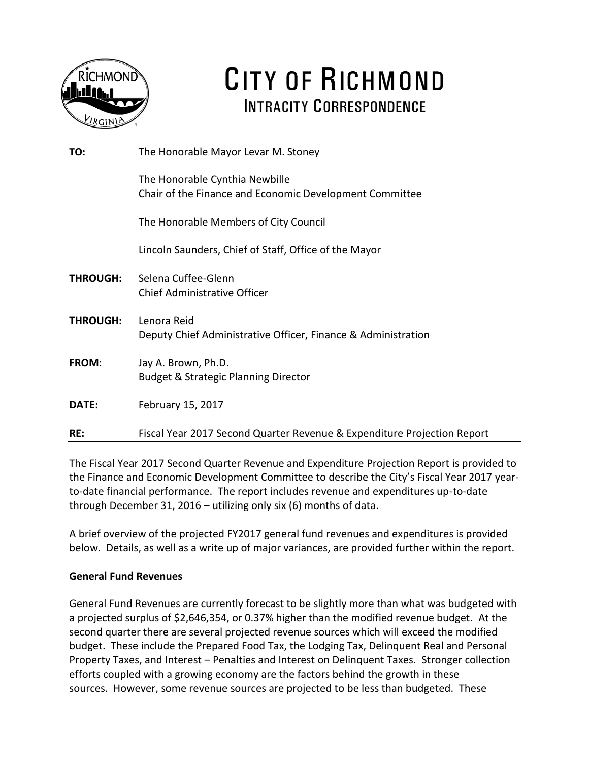

# CITY OF RICHMOND **INTRACITY CORRESPONDENCE**

| TO:             | The Honorable Mayor Levar M. Stoney                                                       |
|-----------------|-------------------------------------------------------------------------------------------|
|                 | The Honorable Cynthia Newbille<br>Chair of the Finance and Economic Development Committee |
|                 | The Honorable Members of City Council                                                     |
|                 | Lincoln Saunders, Chief of Staff, Office of the Mayor                                     |
| <b>THROUGH:</b> | Selena Cuffee-Glenn<br><b>Chief Administrative Officer</b>                                |
| <b>THROUGH:</b> | Lenora Reid<br>Deputy Chief Administrative Officer, Finance & Administration              |
| <b>FROM:</b>    | Jay A. Brown, Ph.D.<br><b>Budget &amp; Strategic Planning Director</b>                    |
| DATE:           | February 15, 2017                                                                         |
| RE:             | Fiscal Year 2017 Second Quarter Revenue & Expenditure Projection Report                   |

The Fiscal Year 2017 Second Quarter Revenue and Expenditure Projection Report is provided to the Finance and Economic Development Committee to describe the City's Fiscal Year 2017 yearto-date financial performance. The report includes revenue and expenditures up-to-date through December 31, 2016 – utilizing only six (6) months of data.

A brief overview of the projected FY2017 general fund revenues and expenditures is provided below. Details, as well as a write up of major variances, are provided further within the report.

### **General Fund Revenues**

General Fund Revenues are currently forecast to be slightly more than what was budgeted with a projected surplus of \$2,646,354, or 0.37% higher than the modified revenue budget. At the second quarter there are several projected revenue sources which will exceed the modified budget. These include the Prepared Food Tax, the Lodging Tax, Delinquent Real and Personal Property Taxes, and Interest – Penalties and Interest on Delinquent Taxes. Stronger collection efforts coupled with a growing economy are the factors behind the growth in these sources. However, some revenue sources are projected to be less than budgeted. These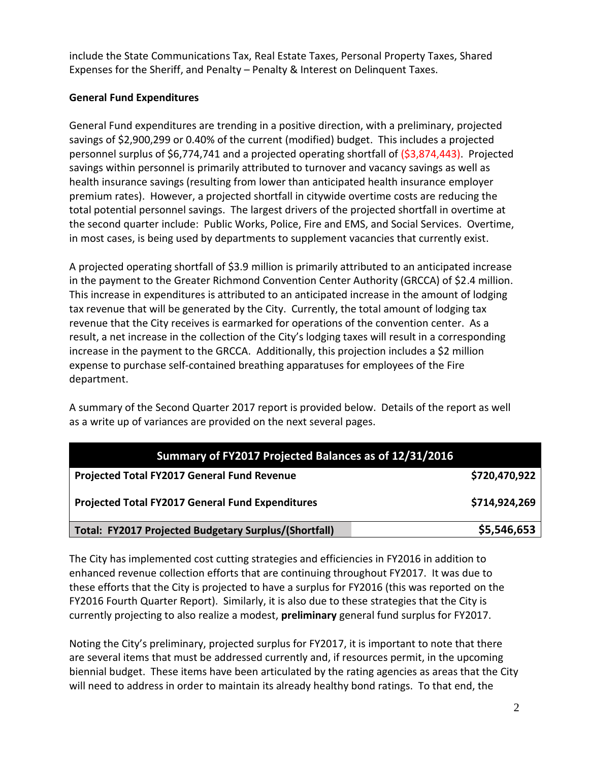include the State Communications Tax, Real Estate Taxes, Personal Property Taxes, Shared Expenses for the Sheriff, and Penalty – Penalty & Interest on Delinquent Taxes.

### **General Fund Expenditures**

General Fund expenditures are trending in a positive direction, with a preliminary, projected savings of \$2,900,299 or 0.40% of the current (modified) budget. This includes a projected personnel surplus of \$6,774,741 and a projected operating shortfall of (\$3,874,443). Projected savings within personnel is primarily attributed to turnover and vacancy savings as well as health insurance savings (resulting from lower than anticipated health insurance employer premium rates). However, a projected shortfall in citywide overtime costs are reducing the total potential personnel savings. The largest drivers of the projected shortfall in overtime at the second quarter include: Public Works, Police, Fire and EMS, and Social Services. Overtime, in most cases, is being used by departments to supplement vacancies that currently exist.

A projected operating shortfall of \$3.9 million is primarily attributed to an anticipated increase in the payment to the Greater Richmond Convention Center Authority (GRCCA) of \$2.4 million. This increase in expenditures is attributed to an anticipated increase in the amount of lodging tax revenue that will be generated by the City. Currently, the total amount of lodging tax revenue that the City receives is earmarked for operations of the convention center. As a result, a net increase in the collection of the City's lodging taxes will result in a corresponding increase in the payment to the GRCCA. Additionally, this projection includes a \$2 million expense to purchase self-contained breathing apparatuses for employees of the Fire department.

A summary of the Second Quarter 2017 report is provided below. Details of the report as well as a write up of variances are provided on the next several pages.

| Summary of FY2017 Projected Balances as of 12/31/2016   |               |  |  |  |  |
|---------------------------------------------------------|---------------|--|--|--|--|
| Projected Total FY2017 General Fund Revenue             | \$720,470,922 |  |  |  |  |
| <b>Projected Total FY2017 General Fund Expenditures</b> | \$714,924,269 |  |  |  |  |
| Total: FY2017 Projected Budgetary Surplus/(Shortfall)   | \$5,546,653   |  |  |  |  |

The City has implemented cost cutting strategies and efficiencies in FY2016 in addition to enhanced revenue collection efforts that are continuing throughout FY2017. It was due to these efforts that the City is projected to have a surplus for FY2016 (this was reported on the FY2016 Fourth Quarter Report). Similarly, it is also due to these strategies that the City is currently projecting to also realize a modest, **preliminary** general fund surplus for FY2017.

Noting the City's preliminary, projected surplus for FY2017, it is important to note that there are several items that must be addressed currently and, if resources permit, in the upcoming biennial budget. These items have been articulated by the rating agencies as areas that the City will need to address in order to maintain its already healthy bond ratings. To that end, the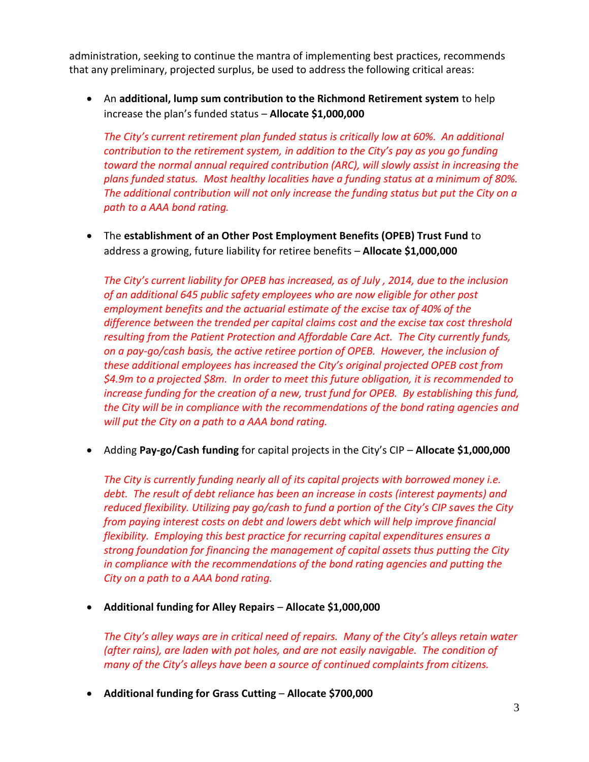administration, seeking to continue the mantra of implementing best practices, recommends that any preliminary, projected surplus, be used to address the following critical areas:

 An **additional, lump sum contribution to the Richmond Retirement system** to help increase the plan's funded status – **Allocate \$1,000,000**

*The City's current retirement plan funded status is critically low at 60%. An additional contribution to the retirement system, in addition to the City's pay as you go funding toward the normal annual required contribution (ARC), will slowly assist in increasing the plans funded status. Most healthy localities have a funding status at a minimum of 80%. The additional contribution will not only increase the funding status but put the City on a path to a AAA bond rating.*

 The **establishment of an Other Post Employment Benefits (OPEB) Trust Fund** to address a growing, future liability for retiree benefits – **Allocate \$1,000,000**

*The City's current liability for OPEB has increased, as of July , 2014, due to the inclusion of an additional 645 public safety employees who are now eligible for other post employment benefits and the actuarial estimate of the excise tax of 40% of the difference between the trended per capital claims cost and the excise tax cost threshold resulting from the Patient Protection and Affordable Care Act. The City currently funds, on a pay-go/cash basis, the active retiree portion of OPEB. However, the inclusion of these additional employees has increased the City's original projected OPEB cost from \$4.9m to a projected \$8m. In order to meet this future obligation, it is recommended to increase funding for the creation of a new, trust fund for OPEB. By establishing this fund, the City will be in compliance with the recommendations of the bond rating agencies and will put the City on a path to a AAA bond rating.*

Adding **Pay-go/Cash funding** for capital projects in the City's CIP – **Allocate \$1,000,000**

*The City is currently funding nearly all of its capital projects with borrowed money i.e. debt. The result of debt reliance has been an increase in costs (interest payments) and reduced flexibility. Utilizing pay go/cash to fund a portion of the City's CIP saves the City from paying interest costs on debt and lowers debt which will help improve financial flexibility. Employing this best practice for recurring capital expenditures ensures a strong foundation for financing the management of capital assets thus putting the City in compliance with the recommendations of the bond rating agencies and putting the City on a path to a AAA bond rating.*

**Additional funding for Alley Repairs** – **Allocate \$1,000,000**

*The City's alley ways are in critical need of repairs. Many of the City's alleys retain water (after rains), are laden with pot holes, and are not easily navigable. The condition of many of the City's alleys have been a source of continued complaints from citizens.*

**Additional funding for Grass Cutting** – **Allocate \$700,000**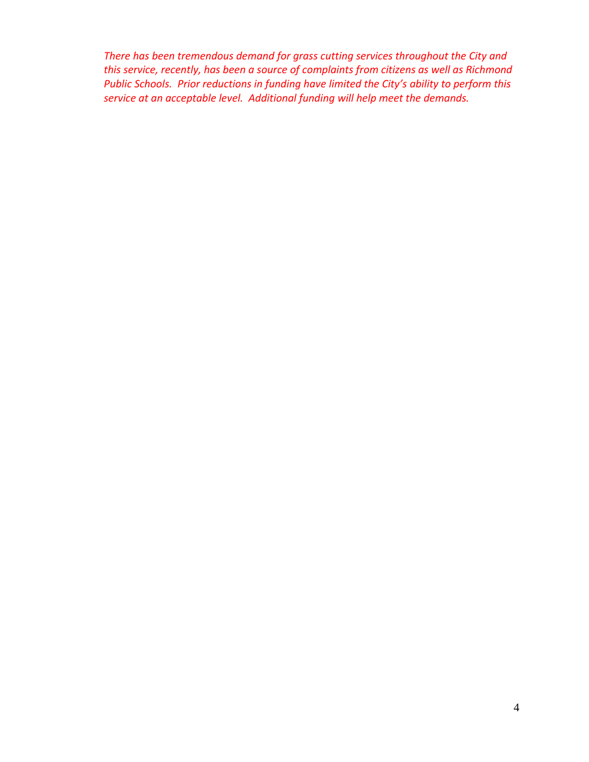*There has been tremendous demand for grass cutting services throughout the City and this service, recently, has been a source of complaints from citizens as well as Richmond Public Schools. Prior reductions in funding have limited the City's ability to perform this service at an acceptable level. Additional funding will help meet the demands.*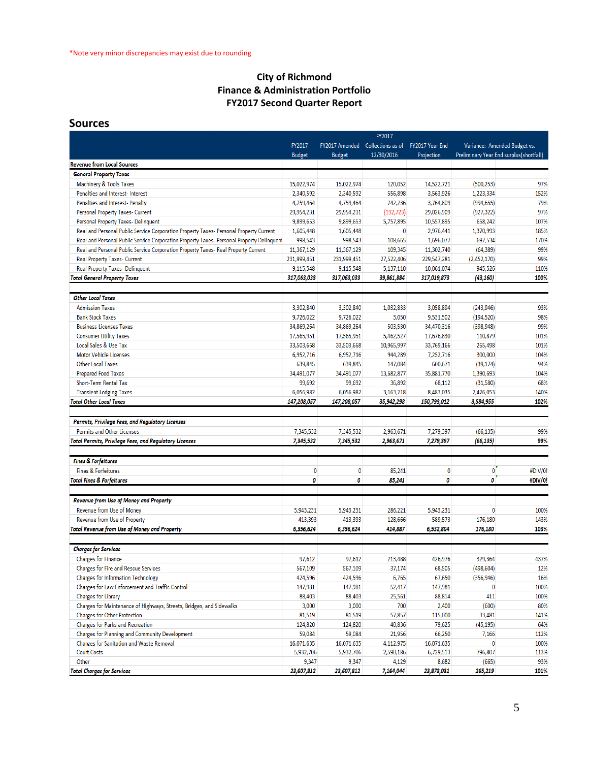### **City of Richmond Finance & Administration Portfolio FY2017 Second Quarter Report**

### **Sources**

|                                                                                           | FY2017        |                |                   |                 |              |                                         |
|-------------------------------------------------------------------------------------------|---------------|----------------|-------------------|-----------------|--------------|-----------------------------------------|
|                                                                                           | FY2017        | FY2017 Amended | Collections as of | FY2017 Year End |              | Variance: Amended Budget vs.            |
|                                                                                           | <b>Budget</b> | <b>Budget</b>  | 12/30/2016        | Projection      |              | Preliminary Year End surplus(shortfall) |
| <b>Revenue from Local Sources</b>                                                         |               |                |                   |                 |              |                                         |
| <b>General Property Taxes</b>                                                             |               |                |                   |                 |              |                                         |
| <b>Machinery &amp; Tools Taxes</b>                                                        | 15,022,974    | 15,022,974     | 120,052           | 14,522,721      | (500, 253)   | 97%                                     |
| Penalties and Interest- Interest                                                          | 2,340,592     | 2,340,592      | 556,898           | 3,563,926       | 1,223,334    | 152%                                    |
| Penalties and Interest- Penalty                                                           | 4,759,464     | 4,759,464      | 742,236           | 3,764,809       | (994, 655)   | 79%                                     |
| Personal Property Taxes- Current                                                          | 29,954,231    | 29,954,231     | (192, 723)        | 29,026,909      | (927, 322)   | 97%                                     |
| Personal Property Taxes- Delinquent                                                       | 9,899,653     | 9,899,653      | 5,757,895         | 10,557,895      | 658,242      | 107%                                    |
| Real and Personal Public Service Corporation Property Taxes- Personal Property Current    | 1,605,448     | 1,605,448      | 0                 | 2,976,441       | 1,370,993    | 185%                                    |
| Real and Personal Public Service Corporation Property Taxes- Personal Property Delinquent | 998,543       | 998,543        | 108,665           | 1,696,077       | 697,534      | 170%                                    |
| Real and Personal Public Service Corporation Property Taxes- Real Property Current        | 11,367,129    | 11,367,129     | 109,345           | 11,302,740      | (64, 389)    | 99%                                     |
| Real Property Taxes- Current                                                              | 231,999,451   | 231,999,451    | 27,522,406        | 229,547,281     | (2,452,170)  | 99%                                     |
| <b>Real Property Taxes- Delinquent</b>                                                    | 9,115,548     | 9,115,548      | 5,137,110         | 10,061,074      | 945,526      | 110%                                    |
| <b>Total General Property Taxes</b>                                                       | 317,063,033   | 317,063,033    | 39,861,884        | 317,019,873     | (43, 160)    | 100%                                    |
|                                                                                           |               |                |                   |                 |              |                                         |
| <b>Other Local Taxes</b>                                                                  |               |                |                   |                 |              |                                         |
| <b>Admission Taxes</b>                                                                    | 3,302,840     | 3,302,840      | 1,032,833         | 3,058,894       | (243, 946)   | 93%                                     |
| <b>Bank Stock Taxes</b>                                                                   | 9,726,022     | 9,726,022      | 3,050             | 9,531,502       | (194, 520)   | 98%                                     |
| <b>Business Licenses Taxes</b>                                                            | 34,869,264    | 34,869,264     | 503,530           | 34,470,316      | (398, 948)   | 99%                                     |
| <b>Consumer Utility Taxes</b>                                                             | 17,565,951    | 17,565,951     | 5,462,527         | 17,676,830      | 110,879      | 101%                                    |
| Local Sales & Use Tax                                                                     | 33,503,668    | 33,503,668     | 10,965,997        | 33,769,166      | 265,498      | 101%                                    |
| <b>Motor Vehicle Licenses</b>                                                             | 6,952,716     | 6,952,716      | 944,289           | 7,252,716       | 300,000      | 104%                                    |
| <b>Other Local Taxes</b>                                                                  | 639,845       | 639,845        | 147,084           | 600,671         | (39, 174)    | 94%                                     |
| <b>Prepared Food Taxes</b>                                                                | 34,491,077    | 34,491,077     | 13,682,877        | 35,881,770      | 1,390,693    | 104%                                    |
| Short-Term Rental Tax                                                                     | 99,692        | 99,692         | 36,892            | 68,112          | (31,580)     | 68%                                     |
| <b>Transient Lodging Taxes</b>                                                            | 6,056,982     | 6,056,982      | 3,163,218         | 8,483,035       | 2,426,053    | 140%                                    |
| <b>Total Other Local Taxes</b>                                                            | 147,208,057   | 147,208,057    | 35,942,298        | 150,793,012     | 3,584,955    | 102%                                    |
|                                                                                           |               |                |                   |                 |              |                                         |
| Permits, Privilege Fees, and Regulatory Licenses                                          |               |                |                   |                 |              |                                         |
| <b>Permits and Other Licenses</b>                                                         | 7,345,532     | 7,345,532      | 2,963,671         | 7,279,397       | (66, 135)    | 99%                                     |
| <b>Total Permits, Privilege Fees, and Regulatory Licenses</b>                             | 7,345,532     | 7,345,532      | 2,963,671         | 7,279,397       | (66, 135)    | 99%                                     |
|                                                                                           |               |                |                   |                 |              |                                         |
| <b>Fines &amp; Forfeitures</b>                                                            |               |                |                   |                 |              |                                         |
| <b>Fines &amp; Forfeitures</b>                                                            | 0             | $\bf{0}$       | 85,241            | $\bf{0}$        | $\mathbf{0}$ | #DIV/0!                                 |
| <b>Total Fines &amp; Forfeitures</b>                                                      | 0             | 0              | 85,241            | 0               | 0            | #DIV/0!                                 |
|                                                                                           |               |                |                   |                 |              |                                         |
| Revenue from Use of Money and Property                                                    |               |                |                   |                 |              |                                         |
| Revenue from Use of Money                                                                 | 5,943,231     | 5,943,231      | 286,221           | 5,943,231       | 0            | 100%                                    |
| Revenue from Use of Property                                                              | 413,393       | 413,393        | 128,666           | 589,573         | 176,180      | 143%                                    |
| <b>Total Revenue from Use of Money and Property</b>                                       | 6,356,624     | 6,356,624      | 414,887           | 6,532,804       | 176,180      | 103%                                    |
|                                                                                           |               |                |                   |                 |              |                                         |
| <b>Charges for Services</b>                                                               |               |                |                   |                 |              |                                         |
| <b>Charges for Finance</b>                                                                | 97,612        | 97,612         | 213.488           | 426,976         | 329.364      | 437%                                    |
| Charges for Fire and Rescue Services                                                      | 567,109       | 567,109        | 37,174            | 68,505          | (498, 604)   | 12%                                     |
| <b>Charges for Information Technology</b>                                                 | 424,596       | 424,596        | 6,765             | 67,650          | (356, 946)   | 16%                                     |
| Charges for Law Enforcement and Traffic Control                                           | 147,981       | 147,981        | 52,417            | 147,981         | 0            | 100%                                    |
| Charges for Library                                                                       | 88,403        | 88,403         | 25,561            | 88,814          | 411          | 100%                                    |
| Charges for Maintenance of Highways, Streets, Bridges, and Sidewalks                      | 3,000         | 3,000          | 700               | 2,400           | (600)        | 80%                                     |
| <b>Charges for Other Protection</b>                                                       | 81,519        | 81,519         | 57,857            | 115,000         | 33,481       | 141%                                    |
| Charges for Parks and Recreation                                                          | 124,820       | 124,820        | 40,836            | 79,625          | (45, 195)    | 64%                                     |
| Charges for Planning and Community Development                                            | 59,084        | 59,084         | 21,956            | 66,250          | 7,166        | 112%                                    |
| Charges for Sanitation and Waste Removal                                                  | 16,071,635    | 16,071,635     | 4,112,975         | 16,071,635      | 0            | 100%                                    |
| <b>Court Costs</b>                                                                        | 5,932,706     | 5,932,706      | 2,590,186         | 6,729,513       | 796,807      | 113%                                    |
| Other                                                                                     | 9,347         | 9,347          | 4,129             | 8,682           | (665)        | 93%                                     |
| <b>Total Charges for Services</b>                                                         | 23,607,812    | 23,607,812     | 7,164,044         | 23,873,031      | 265,219      | 101%                                    |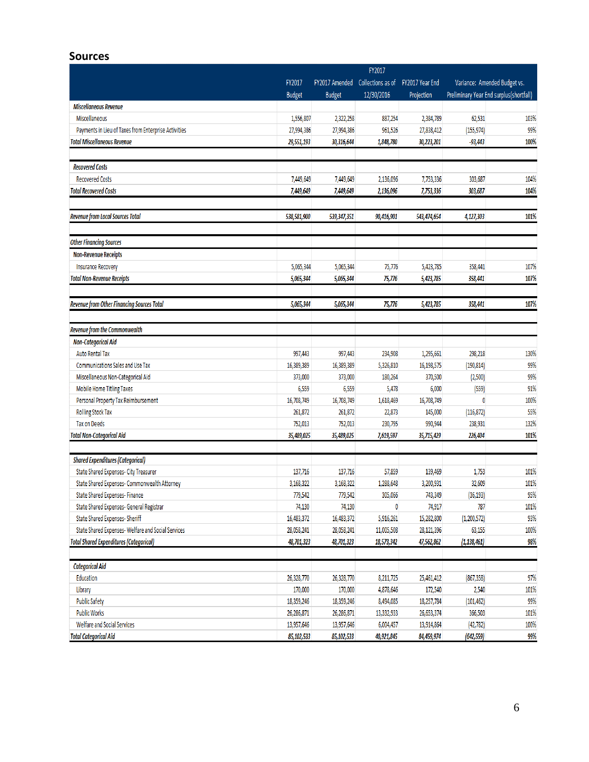### **Sources**

|                                                      |                      |                                     | FY2017     |                 |                              |                                         |  |
|------------------------------------------------------|----------------------|-------------------------------------|------------|-----------------|------------------------------|-----------------------------------------|--|
|                                                      | FY2017               | FY2017 Amended<br>Collections as of |            | FY2017 Year End | Variance: Amended Budget vs. |                                         |  |
|                                                      | <b>Budget</b>        | <b>Budget</b>                       | 12/30/2016 | Projection      |                              | Preliminary Year End surplus(shortfall) |  |
| <b>Miscellaneous Revenue</b>                         |                      |                                     |            |                 |                              |                                         |  |
| Miscellaneous                                        | 1,556,807            | 2,322,258                           | 887,254    | 2,384,789       | 62,531                       | 103%                                    |  |
| Payments in Lieu of Taxes from Enterprise Activities | 27,994,386           | 27,994,386                          | 961,526    | 27,838,412      | (155, 974)                   | 99%                                     |  |
| <b>Total Miscellaneous Revenue</b>                   | 29,551,193           | 30,316,644                          | 1,848,780  | 30,223,201      | -93,443                      | 100%                                    |  |
|                                                      |                      |                                     |            |                 |                              |                                         |  |
| <b>Recovered Costs</b>                               |                      |                                     |            |                 |                              |                                         |  |
| <b>Recovered Costs</b>                               | 7,449,649            | 7,449,649                           | 2,136,096  | 7,753,336       | 303,687                      | 104%                                    |  |
| <b>Total Recovered Costs</b>                         | 7,449,649            | 7,449,649                           | 2,136,096  | 7,753,336       | 303,687                      | 104%                                    |  |
|                                                      |                      |                                     |            |                 |                              |                                         |  |
| <b>Revenue from Local Sources Total</b>              | 538,581,900          | 539,347,351                         | 90,416,901 | 543,474,654     | 4,127,303                    | 101%                                    |  |
| <b>Other Financing Sources</b>                       |                      |                                     |            |                 |                              |                                         |  |
| <b>Non-Revenue Receipts</b>                          |                      |                                     |            |                 |                              |                                         |  |
| <b>Insurance Recovery</b>                            | 5,065,344            | 5,065,344                           | 75,776     | 5,423,785       | 358,441                      | 107%                                    |  |
| <b>Total Non-Revenue Receipts</b>                    | 5,065,344            | 5,065,344                           | 75,776     | 5,423,785       | 358,441                      | 107%                                    |  |
|                                                      |                      |                                     |            |                 |                              |                                         |  |
| <b>Revenue from Other Financing Sources Total</b>    | 5,065,344            | 5,065,344                           | 75,776     | 5,423,785       | 358,441                      | 107%                                    |  |
| <b>Revenue from the Commonwealth</b>                 |                      |                                     |            |                 |                              |                                         |  |
| <b>Non-Categorical Aid</b>                           |                      |                                     |            |                 |                              |                                         |  |
| <b>Auto Rental Tax</b>                               | 997,443              | 997,443                             | 234,908    | 1,295,661       | 298,218                      | 130%                                    |  |
| Communications Sales and Use Tax                     | 16,389,389           | 16,389,389                          | 5,326,810  | 16,198,575      | (190, 814)                   | 99%                                     |  |
| Miscellaneous Non-Categorical Aid                    | 373,000              | 373,000                             | 180,264    | 370,500         | (2,500)                      | 99%                                     |  |
| Mobile Home Titling Taxes                            | 6,559                | 6,559                               | 5,478      | 6,000           | (559)                        | 91%                                     |  |
| Personal Property Tax Reimbursement                  | 16,708,749           | 16,708,749                          | 1,618,469  | 16,708,749      | 0                            | 100%                                    |  |
| <b>Rolling Stock Tax</b>                             | 261,872              | 261,872                             | 22,873     | 145,000         | (116, 872)                   | 55%                                     |  |
| <b>Tax on Deeds</b>                                  | 752,013              | 752,013                             | 230,795    | 990,944         | 238,931                      | 132%                                    |  |
| <b>Total Non-Categorical Aid</b>                     | 35,489,025           | 35,489,025                          | 7,619,597  | 35,715,429      | 226,404                      | 101%                                    |  |
| <b>Shared Expenditures (Categorical)</b>             |                      |                                     |            |                 |                              |                                         |  |
| State Shared Expenses- City Treasurer                | 137,716              | 137,716                             | 57,859     | 139,469         | 1,753                        | 101%                                    |  |
| State Shared Expenses- Commonwealth Attorney         |                      |                                     | 1,288,648  | 3,200,931       | 32,609                       | 101%                                    |  |
| <b>State Shared Expenses- Finance</b>                | 3,168,322<br>779.542 | 3,168,322<br>779,542                | 305,066    | 743,349         |                              | 95%                                     |  |
| State Shared Expenses- General Registrar             | 74,130               | 74,130                              | 0          | 74,917          | (36, 193)<br>787             | 101%                                    |  |
| State Shared Expenses- Sheriff                       | 16,483,372           | 16,483,372                          | 5,916,261  | 15,282,800      | (1, 200, 572)                | 93%                                     |  |
| State Shared Expenses-Welfare and Social Services    | 28,058,241           | 28,058,241                          | 11,005,508 | 28,121,396      | 63,155                       | 100%                                    |  |
| <b>Total Shared Expenditures (Categorical)</b>       | 48,701,323           | 48,701,323                          | 18,573,342 | 47,562,862      | (1, 138, 461)                | 98%                                     |  |
|                                                      |                      |                                     |            |                 |                              |                                         |  |
| <b>Categorical Aid</b>                               |                      |                                     |            |                 |                              |                                         |  |
| Education                                            | 26,328,770           | 26,328,770                          | 8,211,725  | 25,461,412      | (867, 358)                   | 97%                                     |  |
| Library                                              | 170,000              | 170,000                             | 4,878,646  | 172,540         | 2,540                        | 101%                                    |  |
| <b>Public Safety</b>                                 | 18,359,246           | 18,359,246                          | 8,494,085  | 18,257,784      | (101, 462)                   | 99%                                     |  |
| <b>Public Works</b>                                  | 26,286,871           | 26,286,871                          | 13,332,933 | 26,653,374      | 366,503                      | 101%                                    |  |
| Welfare and Social Services                          | 13,957,646           | 13,957,646                          | 6,004,457  | 13,914,864      | (42, 782)                    | 100%                                    |  |
| <b>Total Categorical Aid</b>                         | 85,102,533           | 85,102,533                          | 40,921,845 | 84,459,974      | (642, 559)                   | 99%                                     |  |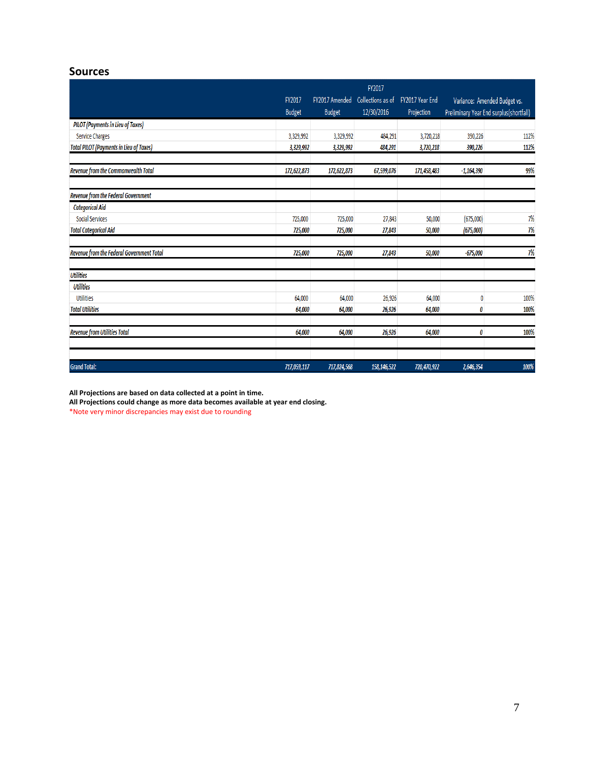### **Sources**

|                                                | FY2017        |                |                   |                 |              |                                         |
|------------------------------------------------|---------------|----------------|-------------------|-----------------|--------------|-----------------------------------------|
|                                                | FY2017        | FY2017 Amended | Collections as of | FY2017 Year End |              | Variance: Amended Budget vs.            |
|                                                | <b>Budget</b> | <b>Budget</b>  | 12/30/2016        | Projection      |              | Preliminary Year End surplus(shortfall) |
| <b>PILOT (Payments in Lieu of Taxes)</b>       |               |                |                   |                 |              |                                         |
| <b>Service Charges</b>                         | 3,329,992     | 3,329,992      | 484,291           | 3,720,218       | 390,226      | 112%                                    |
| <b>Total PILOT (Payments in Lieu of Taxes)</b> | 3,329,992     | 3,329,992      | 484,291           | 3,720,218       | 390,226      | 112%                                    |
| Revenue from the Commonwealth Total            | 172,622,873   | 172,622,873    | 67,599,076        | 171,458,483     | $-1,164,390$ | 99%                                     |
| Revenue from the Federal Government            |               |                |                   |                 |              |                                         |
| <b>Categorical Aid</b>                         |               |                |                   |                 |              |                                         |
| <b>Social Services</b>                         | 725,000       | 725,000        | 27,843            | 50,000          | (675,000)    | 7%                                      |
| <b>Total Categorical Aid</b>                   | 725,000       | 725,000        | 27,843            | 50,000          | (675,000)    | 7%                                      |
| Revenue from the Federal Government Total      | 725,000       | 725,000        | 27,843            | 50,000          | $-675,000$   | 7%                                      |
| <b>Utilities</b>                               |               |                |                   |                 |              |                                         |
| <b>Utilities</b>                               |               |                |                   |                 |              |                                         |
| <b>Utilities</b>                               | 64,000        | 64,000         | 26,926            | 64,000          | 0            | 100%                                    |
| <b>Total Utilities</b>                         | 64,000        | 64,000         | 26,926            | 64,000          | 0            | 100%                                    |
| <b>Revenue from Utilities Total</b>            | 64,000        | 64,000         | 26,926            | 64,000          | 0            | 100%                                    |
| <b>Grand Total:</b>                            | 717,059,117   | 717,824,568    | 158,146,522       | 720,470,922     | 2,646,354    | 100%                                    |

**All Projections are based on data collected at a point in time.**

**All Projections could change as more data becomes available at year end closing.**

\*Note very minor discrepancies may exist due to rounding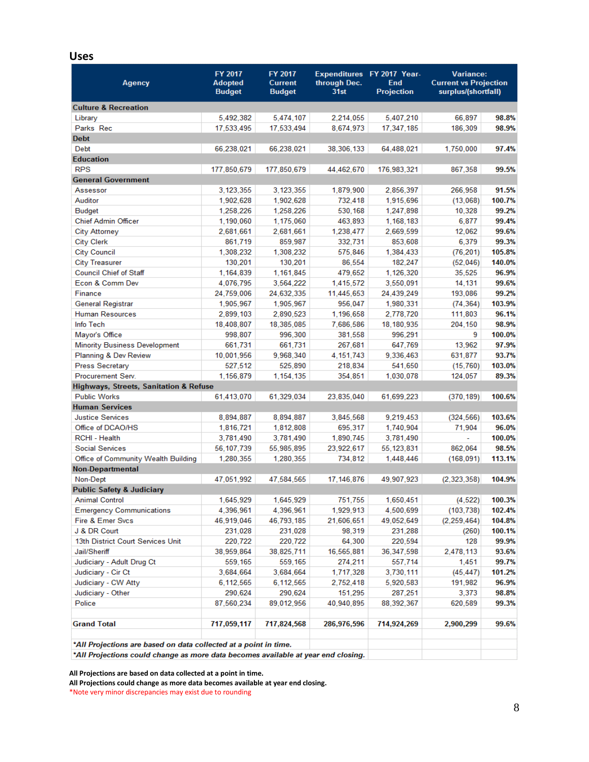### **Uses**

| Agency                                                           | FY 2017<br><b>Adopted</b><br><b>Budget</b> | FY 2017<br><b>Current</b><br><b>Budget</b> | through Dec.<br>31st | Expenditures FY 2017 Year-<br>End<br><b>Projection</b> |               | <b>Variance:</b><br><b>Current vs Projection</b><br>surplus/(shortfall) |  |
|------------------------------------------------------------------|--------------------------------------------|--------------------------------------------|----------------------|--------------------------------------------------------|---------------|-------------------------------------------------------------------------|--|
| <b>Culture &amp; Recreation</b>                                  |                                            |                                            |                      |                                                        |               |                                                                         |  |
| Library                                                          | 5,492,382                                  | 5,474,107                                  | 2,214,055            | 5,407,210                                              | 66.897        | 98.8%                                                                   |  |
| Parks Rec                                                        | 17,533,495                                 | 17,533,494                                 | 8,674,973            | 17,347,185                                             | 186.309       | 98.9%                                                                   |  |
| <b>Debt</b>                                                      |                                            |                                            |                      |                                                        |               |                                                                         |  |
| Debt                                                             | 66,238,021                                 | 66,238,021                                 | 38,306,133           | 64.488.021                                             | 1,750,000     | 97.4%                                                                   |  |
| <b>Education</b>                                                 |                                            |                                            |                      |                                                        |               |                                                                         |  |
| <b>RPS</b>                                                       | 177,850,679                                | 177,850,679                                | 44,462,670           | 176,983,321                                            | 867,358       | 99.5%                                                                   |  |
| <b>General Government</b>                                        |                                            |                                            |                      |                                                        |               |                                                                         |  |
| Assessor                                                         | 3,123,355                                  | 3, 123, 355                                | 1,879,900            | 2,856,397                                              | 266,958       | 91.5%                                                                   |  |
| Auditor                                                          | 1,902,628                                  | 1,902,628                                  | 732,418              | 1.915.696                                              | (13,068)      | 100.7%                                                                  |  |
| <b>Budget</b>                                                    | 1,258,226                                  | 1,258,226                                  | 530,168              | 1,247,898                                              | 10,328        | 99.2%                                                                   |  |
| <b>Chief Admin Officer</b>                                       | 1,190,060                                  | 1,175,060                                  | 463,893              | 1,168,183                                              | 6,877         | 99.4%                                                                   |  |
| <b>City Attorney</b>                                             | 2,681,661                                  | 2,681,661                                  | 1,238,477            | 2,669,599                                              | 12,062        | 99.6%                                                                   |  |
| <b>City Clerk</b>                                                | 861,719                                    | 859,987                                    | 332,731              | 853,608                                                | 6,379         | 99.3%                                                                   |  |
| <b>City Council</b>                                              | 1,308,232                                  | 1,308,232                                  | 575,846              | 1,384,433                                              | (76, 201)     | 105.8%                                                                  |  |
| <b>City Treasurer</b>                                            | 130,201                                    | 130,201                                    | 86,554               | 182,247                                                | (52,046)      | 140.0%                                                                  |  |
| <b>Council Chief of Staff</b>                                    | 1,164,839                                  | 1,161,845                                  | 479,652              | 1,126,320                                              | 35,525        | 96.9%                                                                   |  |
| Econ & Comm Dev                                                  | 4,076,795                                  | 3.564.222                                  | 1.415.572            | 3,550,091                                              | 14,131        | 99.6%                                                                   |  |
| Finance                                                          | 24,759,006                                 | 24,632,335                                 | 11,445,653           | 24,439,249                                             | 193,086       | 99.2%                                                                   |  |
| General Registrar                                                | 1,905,967                                  | 1,905,967                                  | 956,047              | 1,980,331                                              | (74, 364)     | 103.9%                                                                  |  |
| <b>Human Resources</b>                                           | 2,899,103                                  | 2,890,523                                  | 1,196,658            | 2,778,720                                              | 111,803       | 96.1%                                                                   |  |
| Info Tech                                                        | 18,408,807                                 | 18,385,085                                 | 7,686,586            | 18,180,935                                             | 204.150       | 98.9%                                                                   |  |
| Mayor's Office                                                   | 998,807                                    | 996,300                                    | 381,558              | 996,291                                                | 9             | 100.0%                                                                  |  |
| <b>Minority Business Development</b>                             | 661,731                                    | 661.731                                    | 267,681              | 647,769                                                | 13,962        | 97.9%                                                                   |  |
| Planning & Dev Review                                            | 10,001,956                                 | 9,968,340                                  | 4, 151, 743          | 9,336,463                                              | 631,877       | 93.7%                                                                   |  |
| <b>Press Secretary</b>                                           | 527,512                                    | 525,890                                    | 218,834              | 541,650                                                | (15, 760)     | 103.0%                                                                  |  |
| Procurement Serv.                                                | 1,156,879                                  | 1, 154, 135                                | 354,851              | 1,030,078                                              | 124,057       | 89.3%                                                                   |  |
| Highways, Streets, Sanitation & Refuse                           |                                            |                                            |                      |                                                        |               |                                                                         |  |
| <b>Public Works</b>                                              | 61,413,070                                 | 61,329,034                                 | 23,835,040           | 61,699,223                                             | (370, 189)    | 100.6%                                                                  |  |
| <b>Human Services</b>                                            |                                            |                                            |                      |                                                        |               |                                                                         |  |
| <b>Justice Services</b>                                          | 8,894,887                                  | 8,894,887                                  | 3,845,568            | 9,219,453                                              | (324, 566)    | 103.6%                                                                  |  |
| Office of DCAO/HS                                                | 1,816,721                                  | 1,812,808                                  | 695,317              | 1,740,904                                              | 71,904        | 96.0%                                                                   |  |
| RCHI - Health                                                    | 3,781,490                                  | 3,781,490                                  | 1,890,745            | 3,781,490                                              |               | 100.0%                                                                  |  |
| <b>Social Services</b>                                           | 56, 107, 739                               | 55,985,895                                 | 23,922,617           | 55, 123, 831                                           | 862,064       | 98.5%                                                                   |  |
| Office of Community Wealth Building                              | 1,280,355                                  | 1,280,355                                  | 734,812              | 1,448,446                                              | (168, 091)    | 113.1%                                                                  |  |
| <b>Non-Departmental</b>                                          |                                            |                                            |                      |                                                        |               |                                                                         |  |
| Non-Dept                                                         | 47,051,992                                 | 47,584,565                                 | 17, 146, 876         | 49,907,923                                             | (2, 323, 358) | 104.9%                                                                  |  |
| <b>Public Safety &amp; Judiciary</b>                             |                                            |                                            |                      |                                                        |               |                                                                         |  |
| Animal Control                                                   | 1,645,929                                  | 1,645,929                                  | 751,755              | 1,650,451                                              | (4, 522)      | 100.3%                                                                  |  |
| <b>Emergency Communications</b>                                  | 4,396,961                                  | 4,396,961                                  | 1,929,913            | 4,500,699                                              | (103, 738)    | 102.4%                                                                  |  |
| Fire & Emer Svcs                                                 | 46,919,046                                 | 46,793,185                                 | 21,606,651           | 49,052,649                                             | (2, 259, 464) | 104.8%                                                                  |  |
| J & DR Court                                                     | 231,028                                    | 231,028                                    | 98,319               | 231,288                                                | (260)         | 100.1%                                                                  |  |
| 13th District Court Services Unit                                | 220,722                                    | 220,722                                    | 64,300               | 220,594                                                | 128           | 99.9%                                                                   |  |
| Jail/Sheriff                                                     | 38,959,864                                 | 38,825,711                                 | 16,565,881           | 36,347,598                                             | 2,478,113     | 93.6%                                                                   |  |
| Judiciary - Adult Drug Ct                                        | 559,165                                    | 559,165                                    | 274,211              | 557,714                                                | 1,451         | 99.7%                                                                   |  |
| Judiciary - Cir Ct                                               | 3,684,664                                  | 3,684,664                                  | 1,717,328            | 3,730,111                                              | (45, 447)     | 101.2%                                                                  |  |
| Judiciary - CW Atty                                              | 6,112,565                                  | 6,112,565                                  | 2,752,418            | 5,920,583                                              | 191,982       | 96.9%                                                                   |  |
| Judiciary - Other                                                | 290,624                                    | 290,624                                    | 151,295              | 287,251                                                | 3,373         | 98.8%                                                                   |  |
| Police                                                           | 87,560,234                                 | 89,012,956                                 | 40,940,895           | 88,392,367                                             | 620,589       | 99.3%                                                                   |  |
| <b>Grand Total</b>                                               | 717,059,117                                | 717,824,568                                | 286,976,596          | 714,924,269                                            | 2,900,299     | 99.6%                                                                   |  |
| *All Projections are based on data collected at a point in time. |                                            |                                            |                      |                                                        |               |                                                                         |  |

\*All Projections could change as more data becomes available at year end closing.

**All Projections are based on data collected at a point in time.**

**All Projections could change as more data becomes available at year end closing.**

\*Note very minor discrepancies may exist due to rounding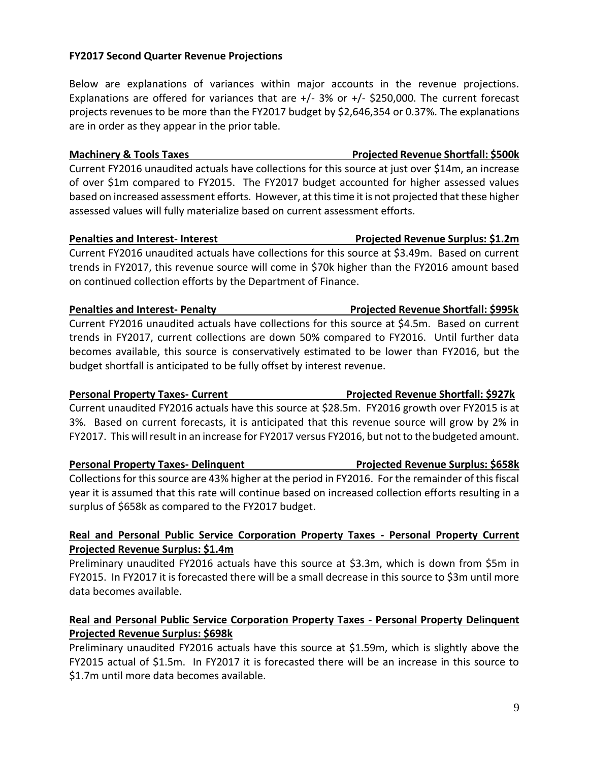**Real and Personal Public Service Corporation Property Taxes - Personal Property Current Projected Revenue Surplus: \$1.4m**  Preliminary unaudited FY2016 actuals have this source at \$3.3m, which is down from \$5m in

**Real and Personal Public Service Corporation Property Taxes - Personal Property Delinquent** 

Preliminary unaudited FY2016 actuals have this source at \$1.59m, which is slightly above the FY2015 actual of \$1.5m. In FY2017 it is forecasted there will be an increase in this source to

FY2015. In FY2017 it is forecasted there will be a small decrease in this source to \$3m until more

**Personal Property Taxes- Delinquent Projected Revenue Surplus: \$658k** Collections for this source are 43% higher at the period in FY2016. For the remainder of this fiscal year it is assumed that this rate will continue based on increased collection efforts resulting in a surplus of \$658k as compared to the FY2017 budget.

data becomes available.

**Projected Revenue Surplus: \$698k** 

\$1.7m until more data becomes available.

**Penalties and Interest- Penalty Projected Revenue Shortfall: \$995k** Current FY2016 unaudited actuals have collections for this source at \$4.5m. Based on current trends in FY2017, current collections are down 50% compared to FY2016. Until further data becomes available, this source is conservatively estimated to be lower than FY2016, but the

3%. Based on current forecasts, it is anticipated that this revenue source will grow by 2% in FY2017. This will result in an increase for FY2017 versus FY2016, but not to the budgeted amount.

**Penalties and Interest- Interest Projected Revenue Surplus: \$1.2m** Current FY2016 unaudited actuals have collections for this source at \$3.49m. Based on current trends in FY2017, this revenue source will come in \$70k higher than the FY2016 amount based on continued collection efforts by the Department of Finance.

**Machinery & Tools Taxes All Access Projected Revenue Shortfall: \$500k** Current FY2016 unaudited actuals have collections for this source at just over \$14m, an increase of over \$1m compared to FY2015. The FY2017 budget accounted for higher assessed values

based on increased assessment efforts. However, at this time it is not projected that these higher

assessed values will fully materialize based on current assessment efforts.

budget shortfall is anticipated to be fully offset by interest revenue.

projects revenues to be more than the FY2017 budget by \$2,646,354 or 0.37%. The explanations are in order as they appear in the prior table.

Below are explanations of variances within major accounts in the revenue projections. Explanations are offered for variances that are  $+/- 3\%$  or  $+/- 250,000$ . The current forecast

### **FY2017 Second Quarter Revenue Projections**

9

### Current unaudited FY2016 actuals have this source at \$28.5m. FY2016 growth over FY2015 is at

**Personal Property Taxes- Current Projected Revenue Shortfall: \$927k**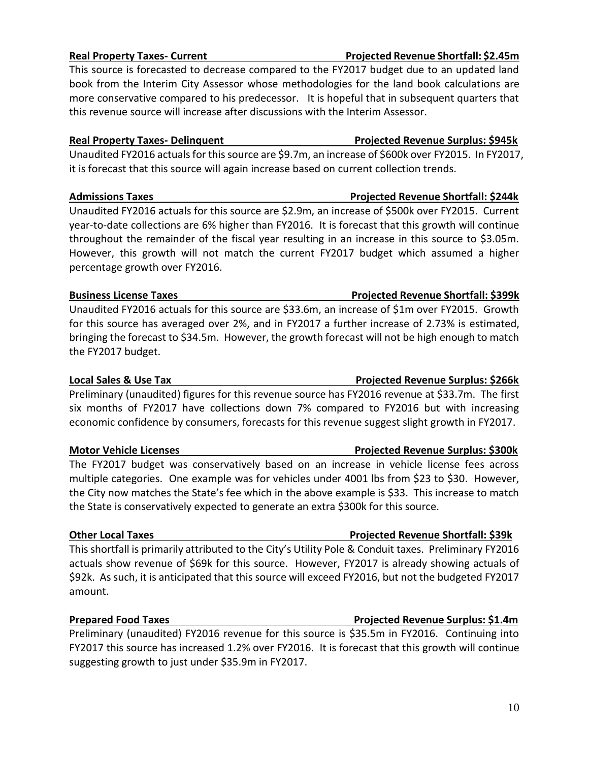### **Real Property Taxes- Current Projected Revenue Shortfall: \$2.45m**

This source is forecasted to decrease compared to the FY2017 budget due to an updated land book from the Interim City Assessor whose methodologies for the land book calculations are more conservative compared to his predecessor. It is hopeful that in subsequent quarters that this revenue source will increase after discussions with the Interim Assessor.

### **Real Property Taxes- Delinquent Projected Revenue Surplus: \$945k**

Unaudited FY2016 actuals for this source are \$9.7m, an increase of \$600k over FY2015. In FY2017, it is forecast that this source will again increase based on current collection trends.

### **Admissions Taxes Projected Revenue Shortfall: \$244k**

Unaudited FY2016 actuals for this source are \$2.9m, an increase of \$500k over FY2015. Current year-to-date collections are 6% higher than FY2016. It is forecast that this growth will continue throughout the remainder of the fiscal year resulting in an increase in this source to \$3.05m. However, this growth will not match the current FY2017 budget which assumed a higher percentage growth over FY2016.

### **Business License Taxes All and Shortfall: \$399k** Projected Revenue Shortfall: \$399k

Unaudited FY2016 actuals for this source are \$33.6m, an increase of \$1m over FY2015. Growth for this source has averaged over 2%, and in FY2017 a further increase of 2.73% is estimated, bringing the forecast to \$34.5m. However, the growth forecast will not be high enough to match the FY2017 budget.

### **Local Sales & Use Tax Projected Revenue Surplus: \$266k**

Preliminary (unaudited) figures for this revenue source has FY2016 revenue at \$33.7m. The first six months of FY2017 have collections down 7% compared to FY2016 but with increasing economic confidence by consumers, forecasts for this revenue suggest slight growth in FY2017.

The FY2017 budget was conservatively based on an increase in vehicle license fees across multiple categories. One example was for vehicles under 4001 lbs from \$23 to \$30. However, the City now matches the State's fee which in the above example is \$33. This increase to match the State is conservatively expected to generate an extra \$300k for this source.

### **Other Local Taxes Controlling Controlling Controlling Projected Revenue Shortfall: \$39k**

This shortfall is primarily attributed to the City's Utility Pole & Conduit taxes. Preliminary FY2016 actuals show revenue of \$69k for this source. However, FY2017 is already showing actuals of \$92k. As such, it is anticipated that this source will exceed FY2016, but not the budgeted FY2017 amount.

### **Prepared Food Taxes Projected Revenue Surplus: \$1.4m**

Preliminary (unaudited) FY2016 revenue for this source is \$35.5m in FY2016. Continuing into FY2017 this source has increased 1.2% over FY2016. It is forecast that this growth will continue suggesting growth to just under \$35.9m in FY2017.

## **Motor Vehicle Licenses Projected Revenue Surplus: \$300k**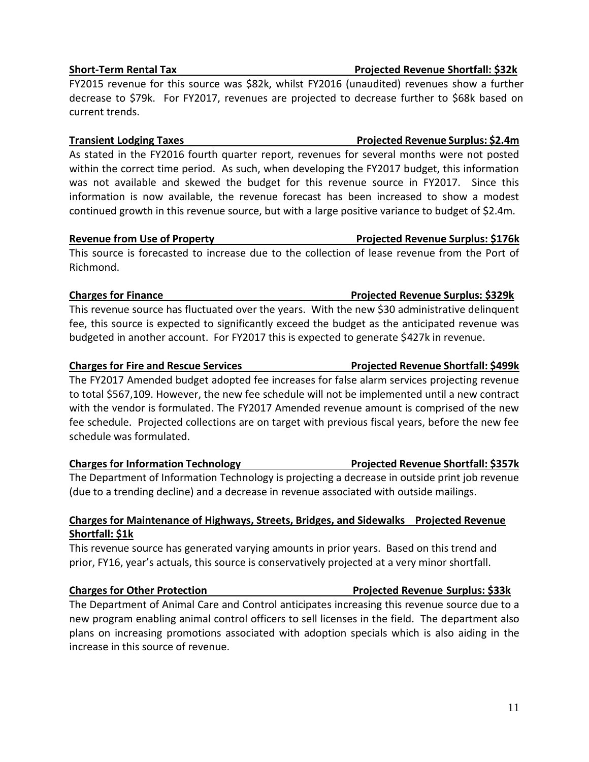### **Short-Term Rental Tax Projected Revenue Shortfall: \$32k**

FY2015 revenue for this source was \$82k, whilst FY2016 (unaudited) revenues show a further decrease to \$79k. For FY2017, revenues are projected to decrease further to \$68k based on current trends.

As stated in the FY2016 fourth quarter report, revenues for several months were not posted within the correct time period. As such, when developing the FY2017 budget, this information was not available and skewed the budget for this revenue source in FY2017. Since this information is now available, the revenue forecast has been increased to show a modest continued growth in this revenue source, but with a large positive variance to budget of \$2.4m.

### **Revenue from Use of Property Projected Revenue Surplus: \$176k**

This source is forecasted to increase due to the collection of lease revenue from the Port of Richmond.

This revenue source has fluctuated over the years. With the new \$30 administrative delinquent fee, this source is expected to significantly exceed the budget as the anticipated revenue was budgeted in another account. For FY2017 this is expected to generate \$427k in revenue.

### **Charges for Fire and Rescue Services Projected Revenue Shortfall: \$499k**

The FY2017 Amended budget adopted fee increases for false alarm services projecting revenue to total \$567,109. However, the new fee schedule will not be implemented until a new contract with the vendor is formulated. The FY2017 Amended revenue amount is comprised of the new fee schedule. Projected collections are on target with previous fiscal years, before the new fee schedule was formulated.

### **Charges for Information Technology Projected Revenue Shortfall: \$357k**

The Department of Information Technology is projecting a decrease in outside print job revenue (due to a trending decline) and a decrease in revenue associated with outside mailings.

### **Charges for Maintenance of Highways, Streets, Bridges, and Sidewalks Projected Revenue Shortfall: \$1k**

This revenue source has generated varying amounts in prior years. Based on this trend and prior, FY16, year's actuals, this source is conservatively projected at a very minor shortfall.

### **Charges for Other Protection Projected Revenue Surplus: \$33k**

The Department of Animal Care and Control anticipates increasing this revenue source due to a new program enabling animal control officers to sell licenses in the field. The department also plans on increasing promotions associated with adoption specials which is also aiding in the increase in this source of revenue.

# **Transient Lodging Taxes Projected Revenue Surplus: \$2.4m**

# **Charges for Finance Projected Revenue Surplus: \$329k**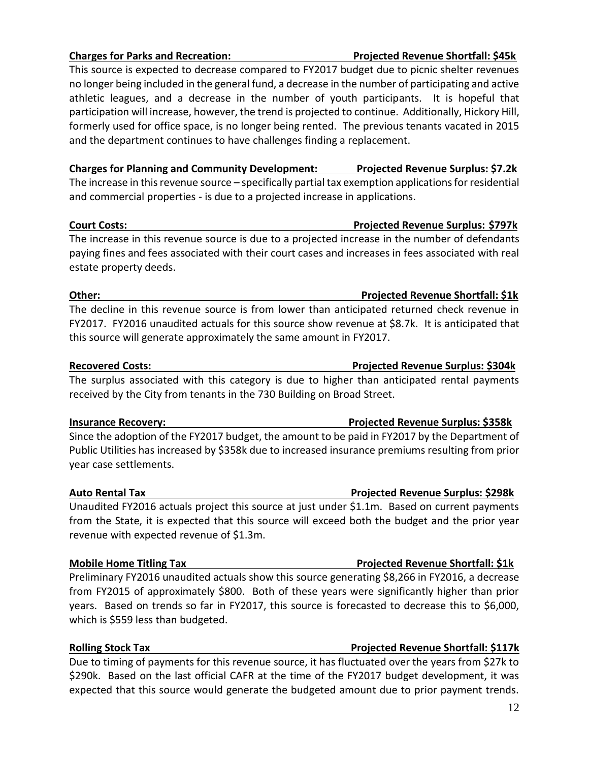### **Charges for Parks and Recreation: Projected Revenue Shortfall: \$45k**

This source is expected to decrease compared to FY2017 budget due to picnic shelter revenues no longer being included in the general fund, a decrease in the number of participating and active athletic leagues, and a decrease in the number of youth participants. It is hopeful that participation will increase, however, the trend is projected to continue. Additionally, Hickory Hill, formerly used for office space, is no longer being rented. The previous tenants vacated in 2015 and the department continues to have challenges finding a replacement.

**Charges for Planning and Community Development: Projected Revenue Surplus: \$7.2k** The increase in this revenue source – specifically partial tax exemption applications for residential and commercial properties - is due to a projected increase in applications.

### **Court Costs: Projected Revenue Surplus: \$797k**

The increase in this revenue source is due to a projected increase in the number of defendants paying fines and fees associated with their court cases and increases in fees associated with real estate property deeds.

The decline in this revenue source is from lower than anticipated returned check revenue in FY2017. FY2016 unaudited actuals for this source show revenue at \$8.7k. It is anticipated that this source will generate approximately the same amount in FY2017.

The surplus associated with this category is due to higher than anticipated rental payments received by the City from tenants in the 730 Building on Broad Street.

Since the adoption of the FY2017 budget, the amount to be paid in FY2017 by the Department of Public Utilities has increased by \$358k due to increased insurance premiums resulting from prior year case settlements.

### **Auto Rental Tax Projected Revenue Surplus: \$298k**

Unaudited FY2016 actuals project this source at just under \$1.1m. Based on current payments from the State, it is expected that this source will exceed both the budget and the prior year revenue with expected revenue of \$1.3m.

### **Mobile Home Titling Tax Projected Revenue Shortfall: \$1k**

Preliminary FY2016 unaudited actuals show this source generating \$8,266 in FY2016, a decrease from FY2015 of approximately \$800. Both of these years were significantly higher than prior years. Based on trends so far in FY2017, this source is forecasted to decrease this to \$6,000, which is \$559 less than budgeted.

### **Rolling Stock Tax Projected Revenue Shortfall: \$117k**

Due to timing of payments for this revenue source, it has fluctuated over the years from \$27k to \$290k. Based on the last official CAFR at the time of the FY2017 budget development, it was expected that this source would generate the budgeted amount due to prior payment trends.

# **Recovered Costs: Projected Revenue Surplus: \$304k**

### **Insurance Recovery: Projected Revenue Surplus: \$358k**

# **Other: Projected Revenue Shortfall: \$1k**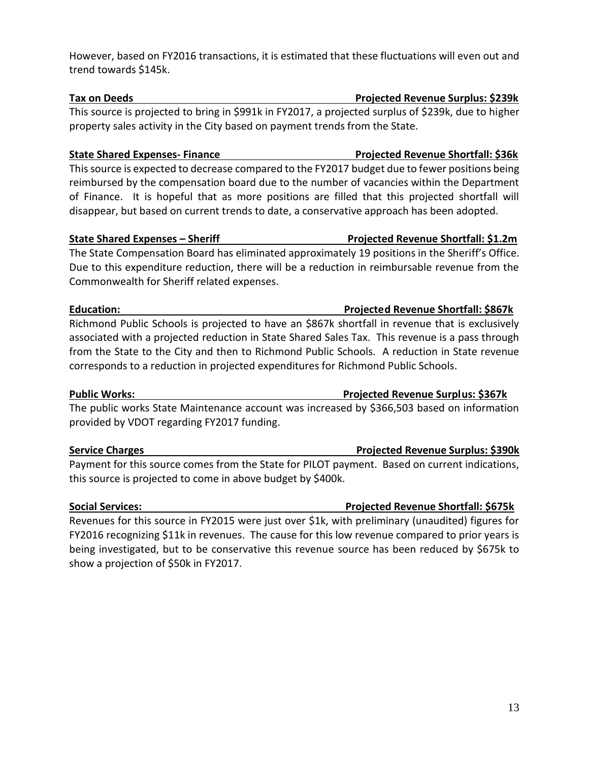### However, based on FY2016 transactions, it is estimated that these fluctuations will even out and trend towards \$145k.

This source is projected to bring in \$991k in FY2017, a projected surplus of \$239k, due to higher property sales activity in the City based on payment trends from the State.

### **State Shared Expenses- Finance Projected Revenue Shortfall: \$36k**

This source is expected to decrease compared to the FY2017 budget due to fewer positions being reimbursed by the compensation board due to the number of vacancies within the Department of Finance. It is hopeful that as more positions are filled that this projected shortfall will disappear, but based on current trends to date, a conservative approach has been adopted.

### **State Shared Expenses – Sheriff Projected Revenue Shortfall: \$1.2m**

The State Compensation Board has eliminated approximately 19 positions in the Sheriff's Office. Due to this expenditure reduction, there will be a reduction in reimbursable revenue from the Commonwealth for Sheriff related expenses.

Richmond Public Schools is projected to have an \$867k shortfall in revenue that is exclusively associated with a projected reduction in State Shared Sales Tax. This revenue is a pass through from the State to the City and then to Richmond Public Schools. A reduction in State revenue corresponds to a reduction in projected expenditures for Richmond Public Schools.

The public works State Maintenance account was increased by \$366,503 based on information provided by VDOT regarding FY2017 funding.

Payment for this source comes from the State for PILOT payment. Based on current indications, this source is projected to come in above budget by \$400k.

Revenues for this source in FY2015 were just over \$1k, with preliminary (unaudited) figures for FY2016 recognizing \$11k in revenues. The cause for this low revenue compared to prior years is being investigated, but to be conservative this revenue source has been reduced by \$675k to show a projection of \$50k in FY2017.

# **Public Works: Projected Revenue Surplus: \$367k**

## **Service Charges Projected Revenue Surplus: \$390k**

### **Social Services: Projected Revenue Shortfall: \$675k**

# **Education: Projected Revenue Shortfall: \$867k**

# **Tax on Deeds Projected Revenue Surplus: \$239k**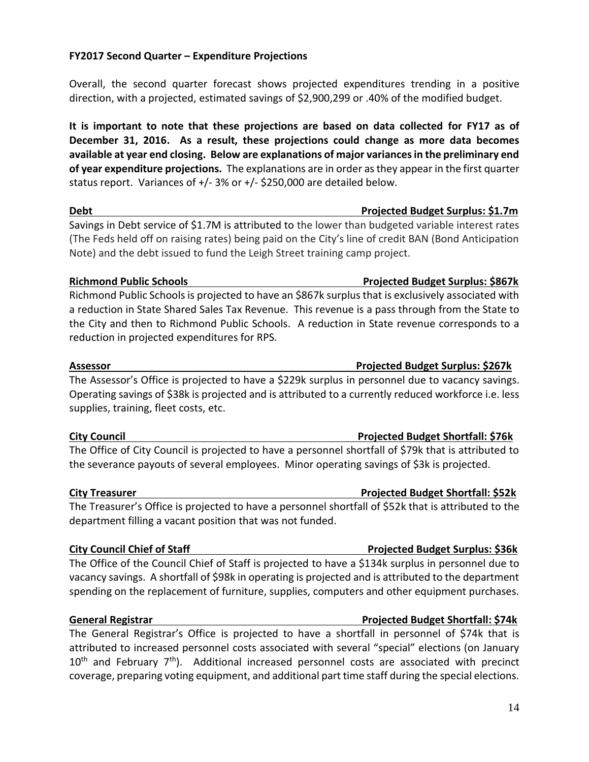### **FY2017 Second Quarter – Expenditure Projections**

Overall, the second quarter forecast shows projected expenditures trending in a positive direction, with a projected, estimated savings of \$2,900,299 or .40% of the modified budget.

**It is important to note that these projections are based on data collected for FY17 as of December 31, 2016. As a result, these projections could change as more data becomes available at year end closing. Below are explanations of major variances in the preliminary end of year expenditure projections.** The explanations are in order as they appear in the first quarter status report. Variances of +/- 3% or +/- \$250,000 are detailed below.

### **Debt Projected Budget Surplus: \$1.7m**

Savings in Debt service of \$1.7M is attributed to the lower than budgeted variable interest rates (The Feds held off on raising rates) being paid on the City's line of credit BAN (Bond Anticipation Note) and the debt issued to fund the Leigh Street training camp project.

### **Richmond Public Schools Projected Budget Surplus: \$867k**

Richmond Public Schools is projected to have an \$867k surplus that is exclusively associated with a reduction in State Shared Sales Tax Revenue. This revenue is a pass through from the State to the City and then to Richmond Public Schools. A reduction in State revenue corresponds to a reduction in projected expenditures for RPS.

The Assessor's Office is projected to have a \$229k surplus in personnel due to vacancy savings. Operating savings of \$38k is projected and is attributed to a currently reduced workforce i.e. less supplies, training, fleet costs, etc.

### **City Council Projected Budget Shortfall: \$76k**

The Office of City Council is projected to have a personnel shortfall of \$79k that is attributed to the severance payouts of several employees. Minor operating savings of \$3k is projected.

### **City Treasurer Projected Budget Shortfall: \$52k**

The Treasurer's Office is projected to have a personnel shortfall of \$52k that is attributed to the department filling a vacant position that was not funded.

The Office of the Council Chief of Staff is projected to have a \$134k surplus in personnel due to vacancy savings. A shortfall of \$98k in operating is projected and is attributed to the department spending on the replacement of furniture, supplies, computers and other equipment purchases.

### **General Registrar Projected Budget Shortfall: \$74k**

The General Registrar's Office is projected to have a shortfall in personnel of \$74k that is attributed to increased personnel costs associated with several "special" elections (on January  $10<sup>th</sup>$  and February 7<sup>th</sup>). Additional increased personnel costs are associated with precinct coverage, preparing voting equipment, and additional part time staff during the special elections.

### **Assessor Projected Budget Surplus: \$267k**

### **City Council Chief of Staff Projected Budget Surplus: \$36k**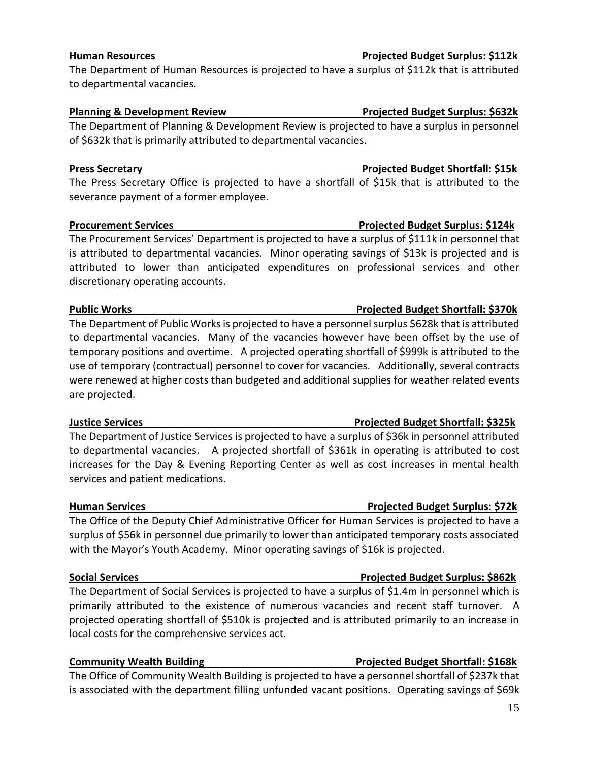# 15

### **Human Resources Projected Budget Surplus: \$112k**

The Department of Human Resources is projected to have a surplus of \$112k that is attributed to departmental vacancies.

### **Planning & Development Review Projected Budget Surplus: \$632k**

The Department of Planning & Development Review is projected to have a surplus in personnel of \$632k that is primarily attributed to departmental vacancies.

### **Press Secretary Projected Budget Shortfall: \$15k**

The Press Secretary Office is projected to have a shortfall of \$15k that is attributed to the severance payment of a former employee.

### **Procurement Services Projected Budget Surplus: \$124k**

The Procurement Services' Department is projected to have a surplus of \$111k in personnel that is attributed to departmental vacancies. Minor operating savings of \$13k is projected and is attributed to lower than anticipated expenditures on professional services and other discretionary operating accounts.

### **Public Works Projected Budget Shortfall: \$370k**

The Department of Public Works is projected to have a personnel surplus \$628k that is attributed to departmental vacancies. Many of the vacancies however have been offset by the use of temporary positions and overtime. A projected operating shortfall of \$999k is attributed to the use of temporary (contractual) personnel to cover for vacancies. Additionally, several contracts were renewed at higher costs than budgeted and additional supplies for weather related events are projected.

### **Justice Services Projected Budget Shortfall: \$325k**

The Department of Justice Services is projected to have a surplus of \$36k in personnel attributed to departmental vacancies. A projected shortfall of \$361k in operating is attributed to cost increases for the Day & Evening Reporting Center as well as cost increases in mental health services and patient medications.

The Office of the Deputy Chief Administrative Officer for Human Services is projected to have a surplus of \$56k in personnel due primarily to lower than anticipated temporary costs associated with the Mayor's Youth Academy. Minor operating savings of \$16k is projected.

### **Social Services Projected Budget Surplus: \$862k**

The Department of Social Services is projected to have a surplus of \$1.4m in personnel which is primarily attributed to the existence of numerous vacancies and recent staff turnover. A projected operating shortfall of \$510k is projected and is attributed primarily to an increase in local costs for the comprehensive services act.

### **Community Wealth Building Community Wealth Building Community Wealth Building Community Wealth Building**

The Office of Community Wealth Building is projected to have a personnel shortfall of \$237k that is associated with the department filling unfunded vacant positions. Operating savings of \$69k

# **Human Services Projected Budget Surplus: \$72k**